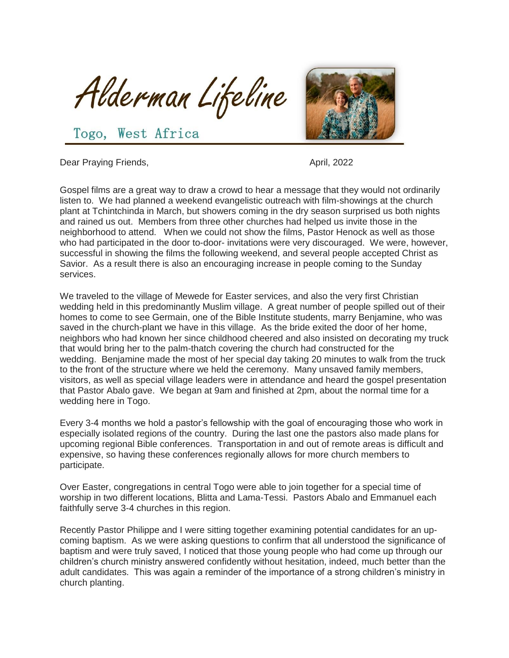Alderman Lifeline



Togo, West Africa

Dear Praying Friends, April, 2022

Gospel films are a great way to draw a crowd to hear a message that they would not ordinarily listen to. We had planned a weekend evangelistic outreach with film-showings at the church plant at Tchintchinda in March, but showers coming in the dry season surprised us both nights and rained us out. Members from three other churches had helped us invite those in the neighborhood to attend. When we could not show the films, Pastor Henock as well as those who had participated in the door to-door- invitations were very discouraged. We were, however, successful in showing the films the following weekend, and several people accepted Christ as Savior. As a result there is also an encouraging increase in people coming to the Sunday services.

We traveled to the village of Mewede for Easter services, and also the very first Christian wedding held in this predominantly Muslim village. A great number of people spilled out of their homes to come to see Germain, one of the Bible Institute students, marry Benjamine, who was saved in the church-plant we have in this village. As the bride exited the door of her home, neighbors who had known her since childhood cheered and also insisted on decorating my truck that would bring her to the palm-thatch covering the church had constructed for the wedding. Benjamine made the most of her special day taking 20 minutes to walk from the truck to the front of the structure where we held the ceremony. Many unsaved family members, visitors, as well as special village leaders were in attendance and heard the gospel presentation that Pastor Abalo gave. We began at 9am and finished at 2pm, about the normal time for a wedding here in Togo.

Every 3-4 months we hold a pastor's fellowship with the goal of encouraging those who work in especially isolated regions of the country. During the last one the pastors also made plans for upcoming regional Bible conferences. Transportation in and out of remote areas is difficult and expensive, so having these conferences regionally allows for more church members to participate.

Over Easter, congregations in central Togo were able to join together for a special time of worship in two different locations, Blitta and Lama-Tessi. Pastors Abalo and Emmanuel each faithfully serve 3-4 churches in this region.

Recently Pastor Philippe and I were sitting together examining potential candidates for an upcoming baptism. As we were asking questions to confirm that all understood the significance of baptism and were truly saved, I noticed that those young people who had come up through our children's church ministry answered confidently without hesitation, indeed, much better than the adult candidates. This was again a reminder of the importance of a strong children's ministry in church planting.